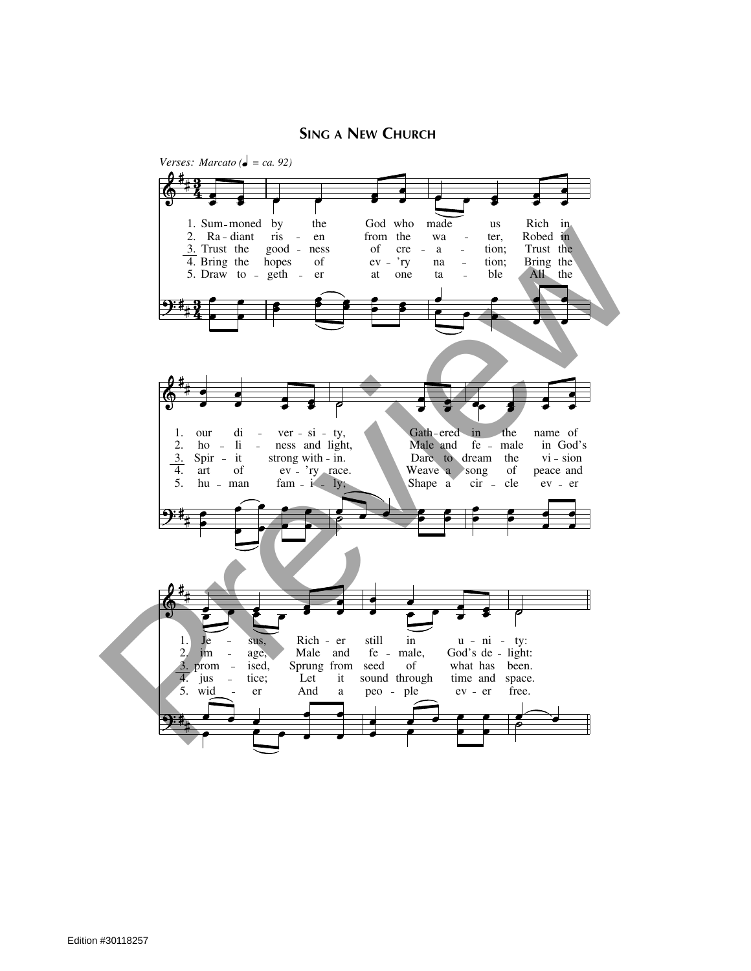## **SING A NEW CHURCH**